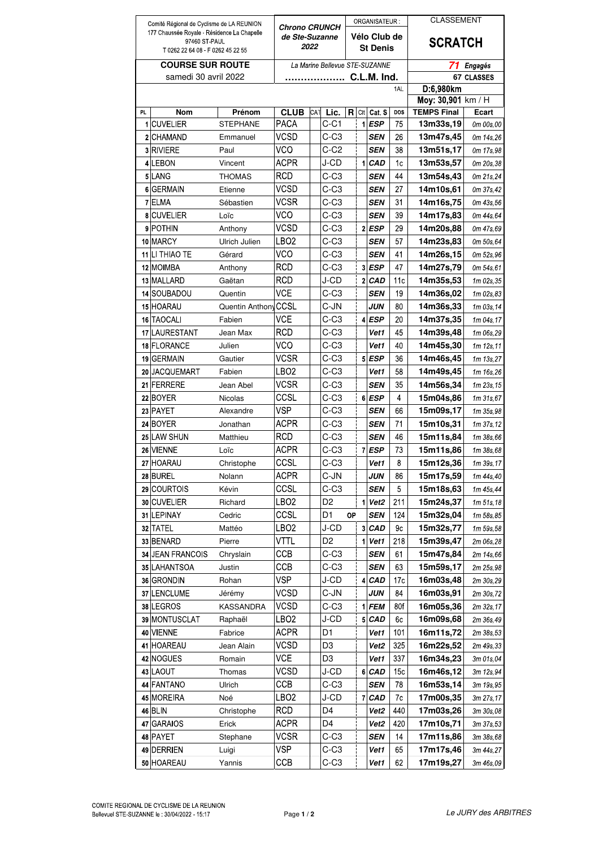| Comité Régional de Cyclisme de LA REUNION                    |                              | <b>Chrono CRUNCH</b> |                                |            |                  |    | ORGANISATEUR:           |                   | <b>CLASSEMENT</b> |                                          |                            |
|--------------------------------------------------------------|------------------------------|----------------------|--------------------------------|------------|------------------|----|-------------------------|-------------------|-------------------|------------------------------------------|----------------------------|
| 177 Chaussée Royale - Résidence La Chapelle<br>97460 ST-PAUL |                              |                      | de Ste-Suzanne                 |            |                  |    |                         | Vélo Club de      |                   | <b>SCRATCH</b>                           |                            |
| T 0262 22 64 08 F 0262 45 22 55                              |                              |                      | 2022                           |            |                  |    |                         | <b>St Denis</b>   |                   |                                          |                            |
| <b>COURSE SUR ROUTE</b>                                      |                              |                      | La Marine Bellevue STE-SUZANNE |            |                  |    |                         |                   |                   | <b>Engagés</b><br>71                     |                            |
| samedi 30 avril 2022                                         |                              |                      | C.L.M. Ind.                    |            |                  |    |                         |                   |                   | <b>67 CLASSES</b>                        |                            |
|                                                              |                              |                      |                                |            |                  |    |                         | 1AL               | D:6,980km         |                                          |                            |
| PL.                                                          | <b>Nom</b>                   | Prénom               | <b>CLUB</b>                    | <b>CAT</b> | Lic.             | R  | Clt                     | Cat. S            | DOS               | Moy: 30,901 km / H<br><b>TEMPS Final</b> | Ecart                      |
|                                                              | 1 CUVELIER                   | <b>STEPHANE</b>      | <b>PACA</b>                    |            | $C-C1$           |    | 1                       | <b>ESP</b>        | 75                | 13m33s,19                                | 0m 00s,00                  |
| $\mathbf{2}$                                                 | CHAMAND                      | Emmanuel             | VCSD                           |            | $C-C3$           |    |                         | SEN               | 26                | 13m47s,45                                | 0m 14s, 26                 |
|                                                              | 3 RIVIERE                    | Paul                 | VCO                            |            | $C-C2$           |    |                         | <b>SEN</b>        | 38                | 13m51s,17                                | 0m 17s,98                  |
|                                                              | 4 LEBON                      | Vincent              | <b>ACPR</b>                    |            | J-CD             |    | 1                       | <b>CAD</b>        | 1c                | 13m53s,57                                | 0m 20s, 38                 |
|                                                              | 5 LANG                       | THOMAS               | RCD                            |            | $C-C3$           |    |                         | SEN               | 44                | 13m54s,43                                | 0m 21s, 24                 |
|                                                              | 6 GERMAIN                    | Etienne              | VCSD                           |            | $C-C3$           |    |                         | <b>SEN</b>        | 27                | 14m10s,61                                | 0m 37s.42                  |
|                                                              | 7 ELMA                       | Sébastien            | VCSR                           |            | $C-C3$           |    |                         | SEN               | 31                | 14m16s,75                                | 0m 43s,56                  |
| 8                                                            | <b>CUVELIER</b>              | Loïc                 | VCO                            |            | $C-C3$           |    |                         | SEN               | 39                | 14m17s,83                                | 0m 44s,64                  |
|                                                              | 9 POTHIN                     | Anthony              | VCSD                           |            | $C-C3$           |    |                         | $2$ <i>ESP</i>    | 29                | 14m20s,88                                | 0m 47s,69                  |
|                                                              | 10 MARCY                     | Ulrich Julien        | LBO2                           |            | $C-C3$           |    |                         | SEN               | 57                | 14m23s,83                                | 0m 50s,64                  |
|                                                              | 11 LI THIAO TE               | Gérard               | VCO                            |            | $C-C3$           |    |                         | <b>SEN</b>        | 41                | 14m26s,15                                | 0m 52s,96                  |
|                                                              | 12 MOIMBA                    | Anthony              | <b>RCD</b>                     |            | $C-C3$           |    |                         | $3$ ESP           | 47                | 14m27s,79                                | 0m 54s.61                  |
|                                                              | 13 MALLARD                   | Gaëtan               | RCD                            |            | J-CD             |    | $\overline{2}$          | <b>CAD</b>        | 11c               | 14m35s,53                                | 1m 02s, 35                 |
|                                                              | 14 SOUBADOU                  | Quentin              | VCE                            |            | $C-C3$           |    |                         | SEN               | 19                | 14m36s,02                                | 1m 02s,83                  |
|                                                              | 15 HOARAU                    | Quentin Anthony      | CCSL                           |            | C-JN             |    |                         | JUN               | 80                | 14m36s,33                                | 1m 03s, 14                 |
|                                                              | 16 TAOCALI                   | Fabien               | VCE                            |            | $C-C3$           |    |                         | 4 ESP             | 20                | 14m37s,35                                | 1m 04s, 17                 |
|                                                              | 17 LAURESTANT<br>18 FLORANCE | Jean Max             | <b>RCD</b><br>VCO              |            | $C-C3$<br>$C-C3$ |    |                         | Vet1              | 45<br>40          | 14m39s,48<br>14m45s,30                   | 1m 06s, 29                 |
|                                                              | 19 GERMAIN                   | Julien<br>Gautier    | VCSR                           |            | $C-C3$           |    |                         | Vet1<br>$5$ $ESP$ | 36                | 14m46s,45                                | 1m 12s, 11<br>$1m$ 13s, 27 |
|                                                              | 20 JACQUEMART                | Fabien               | LBO2                           |            | $C-C3$           |    |                         | Vet1              | 58                | 14m49s.45                                | 1m 16s, 26                 |
|                                                              | 21 FERRERE                   | Jean Abel            | VCSR                           |            | $C-C3$           |    |                         | SEN               | 35                | 14m56s,34                                | 1m 23s, 15                 |
|                                                              | 22 BOYER                     | <b>Nicolas</b>       | CCSL                           |            | $C-C3$           |    |                         | 6 ESP             | 4                 | 15m04s,86                                | $1m$ $31s$ , $67$          |
|                                                              | 23 PAYET                     | Alexandre            | VSP                            |            | $C-C3$           |    |                         | SEN               | 66                | 15m09s,17                                | 1m 35s,98                  |
|                                                              | 24 BOYER                     | Jonathan             | ACPR                           |            | $C-C3$           |    |                         | SEN               | 71                | 15m10s,31                                | 1m 37s, 12                 |
|                                                              | 25 LAW SHUN                  | Matthieu             | <b>RCD</b>                     |            | $C-C3$           |    |                         | <b>SEN</b>        | 46                | 15m11s,84                                | 1m 38s,66                  |
|                                                              | 26 VIENNE                    | Loïc                 | ACPR                           |            | $C-C3$           |    | $\overline{7}$          | <b>ESP</b>        | 73                | 15m11s,86                                | 1m 38s,68                  |
|                                                              | 27 HOARAU                    | Christophe           | CCSL                           |            | $C-C3$           |    |                         | Vet1              | 8                 | 15m12s,36                                | $1m$ 39s, 17               |
|                                                              | 28 BUREL                     | Nolann               | ACPR                           |            | C-JN             |    |                         | JUN               | 86                | 15m17s,59                                | 1m 44s, 40                 |
|                                                              | 29 COURTOIS                  | Kévin                | CCSL                           |            | $C-C3$           |    |                         | <b>SEN</b>        | 5                 | 15m18s,63                                | 1m 45s, 44                 |
|                                                              | 30 CUVELIER                  | Richard              | LBO2                           |            | D <sub>2</sub>   |    | 1                       | Vet <sub>2</sub>  | 211               | 15m24s,37                                | 1m 51s, 18                 |
|                                                              | 31 LEPINAY                   | Cedric               | CCSL                           |            | D <sub>1</sub>   | ОP |                         | <b>SEN</b>        | 124               | 15m32s,04                                | 1m 58s, 85                 |
|                                                              | 32 TATEL                     | Mattéo               | LBO2                           |            | J-CD             |    | $\overline{\mathbf{3}}$ | <b>CAD</b>        | 9c                | 15m32s,77                                | 1m 59s,58                  |
|                                                              | 33 BENARD                    | Pierre               | VTTL                           |            | D <sub>2</sub>   |    | 1                       | Vet1              | 218               | 15m39s,47                                | 2m 06s, 28                 |
|                                                              | 34 JEAN FRANCOIS             | Chryslain            | ССВ                            |            | $C-C3$           |    |                         | SEN               | 61                | 15m47s,84                                | 2m 14s,66                  |
|                                                              | 35 LAHANTSOA                 | Justin               | ССВ                            |            | $C-C3$           |    |                         | <b>SEN</b>        | 63                | 15m59s,17                                | 2m 25s, 98                 |
|                                                              | 36 GRONDIN                   | Rohan                | VSP                            |            | J-CD             |    | 4                       | CAD               | 17 <sub>c</sub>   | 16m03s,48                                | 2m 30s, 29                 |
|                                                              | 37 LENCLUME                  | Jérémy               | VCSD<br>VCSD                   |            | C-JN<br>$C-C3$   |    | 1                       | JUN               | 84<br>80f         | 16m03s,91                                | 2m 30s, 72                 |
|                                                              | 38 LEGROS                    | KASSANDRA            |                                |            | J-CD             |    |                         | <b>FEM</b>        |                   | 16m05s,36                                | 2m 32s, 17                 |
|                                                              | 39 MONTUSCLAT<br>40 VIENNE   | Raphaël<br>Fabrice   | LBO2<br>ACPR                   |            | D1               |    |                         | 5 CAD<br>Vet1     | 6с<br>101         | 16m09s,68<br>16m11s,72                   | 2m 36s,49<br>2m 38s, 53    |
|                                                              | 41 HOAREAU                   | Jean Alain           | VCSD                           |            | D <sub>3</sub>   |    |                         | Vet <sub>2</sub>  | 325               | 16m22s,52                                | 2m 49s, 33                 |
|                                                              | 42 NOGUES                    | Romain               | VCE                            |            | D3               |    |                         | Vet1              | 337               | 16m34s,23                                | 3m 01s,04                  |
|                                                              | 43 LAOUT                     | Thomas               | VCSD                           |            | J-CD             |    | 6                       | <b>CAD</b>        | 15c               | 16m46s,12                                | 3m 12s, 94                 |
|                                                              | 44 FANTANO                   | Ulrich               | CCB                            |            | $C-C3$           |    |                         | <b>SEN</b>        | 78                | 16m53s,14                                | 3m 19s, 95                 |
|                                                              | 45 MOREIRA                   | Noé                  | LBO2                           |            | J-CD             |    | 7                       | <b>CAD</b>        | 7c                | 17m00s,35                                | 3m 27s, 17                 |
|                                                              | 46 BLIN                      | Christophe           | RCD                            |            | D4               |    |                         | Vet2              | 440               | 17m03s,26                                | 3m 30s,08                  |
| 47                                                           | <b>GARAIOS</b>               | Erick                | ACPR                           |            | D <sub>4</sub>   |    |                         | Vet2              | 420               | 17m10s,71                                | 3m 37s,53                  |
|                                                              | 48 PAYET                     | Stephane             | VCSR                           |            | $C-C3$           |    |                         | <b>SEN</b>        | 14                | 17m11s,86                                | 3m 38s,68                  |
|                                                              | 49 DERRIEN                   | Luigi                | VSP                            |            | C-C3             |    |                         | Vet1              | 65                | 17m17s,46                                | 3m 44s, 27                 |
|                                                              | 50 HOAREAU                   | Yannis               | ССВ                            |            | C-C3             |    |                         | Vet1              | 62                | 17m19s,27                                | 3m 46s,09                  |